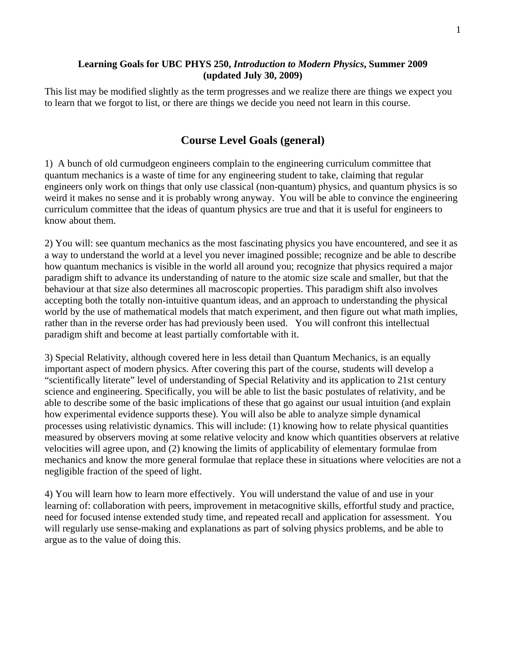### **Learning Goals for UBC PHYS 250,** *Introduction to Modern Physics***, Summer 2009 (updated July 30, 2009)**

This list may be modified slightly as the term progresses and we realize there are things we expect you to learn that we forgot to list, or there are things we decide you need not learn in this course.

# **Course Level Goals (general)**

1) A bunch of old curmudgeon engineers complain to the engineering curriculum committee that quantum mechanics is a waste of time for any engineering student to take, claiming that regular engineers only work on things that only use classical (non-quantum) physics, and quantum physics is so weird it makes no sense and it is probably wrong anyway. You will be able to convince the engineering curriculum committee that the ideas of quantum physics are true and that it is useful for engineers to know about them.

2) You will: see quantum mechanics as the most fascinating physics you have encountered, and see it as a way to understand the world at a level you never imagined possible; recognize and be able to describe how quantum mechanics is visible in the world all around you; recognize that physics required a major paradigm shift to advance its understanding of nature to the atomic size scale and smaller, but that the behaviour at that size also determines all macroscopic properties. This paradigm shift also involves accepting both the totally non-intuitive quantum ideas, and an approach to understanding the physical world by the use of mathematical models that match experiment, and then figure out what math implies, rather than in the reverse order has had previously been used. You will confront this intellectual paradigm shift and become at least partially comfortable with it.

3) Special Relativity, although covered here in less detail than Quantum Mechanics, is an equally important aspect of modern physics. After covering this part of the course, students will develop a "scientifically literate" level of understanding of Special Relativity and its application to 21st century science and engineering. Specifically, you will be able to list the basic postulates of relativity, and be able to describe some of the basic implications of these that go against our usual intuition (and explain how experimental evidence supports these). You will also be able to analyze simple dynamical processes using relativistic dynamics. This will include: (1) knowing how to relate physical quantities measured by observers moving at some relative velocity and know which quantities observers at relative velocities will agree upon, and (2) knowing the limits of applicability of elementary formulae from mechanics and know the more general formulae that replace these in situations where velocities are not a negligible fraction of the speed of light.

4) You will learn how to learn more effectively. You will understand the value of and use in your learning of: collaboration with peers, improvement in metacognitive skills, effortful study and practice, need for focused intense extended study time, and repeated recall and application for assessment. You will regularly use sense-making and explanations as part of solving physics problems, and be able to argue as to the value of doing this.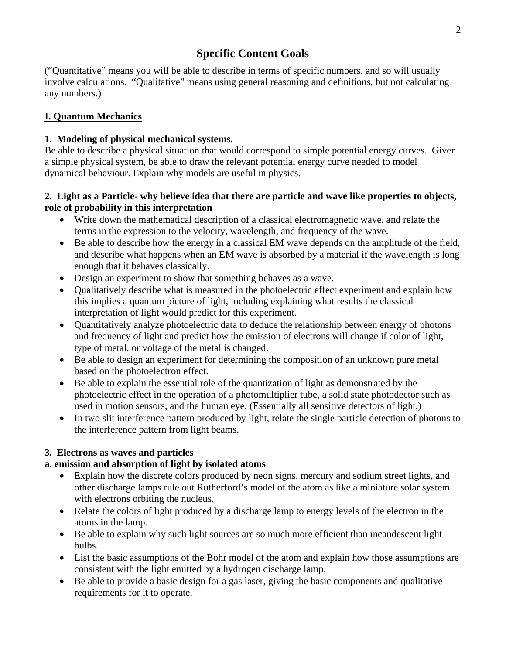# **Specific Content Goals**

("Quantitative" means you will be able to describe in terms of specific numbers, and so will usually involve calculations. "Qualitative" means using general reasoning and definitions, but not calculating any numbers.)

## **I. Quantum Mechanics**

## **1. Modeling of physical mechanical systems.**

Be able to describe a physical situation that would correspond to simple potential energy curves. Given a simple physical system, be able to draw the relevant potential energy curve needed to model dynamical behaviour. Explain why models are useful in physics.

## **2. Light as a Particle- why believe idea that there are particle and wave like properties to objects, role of probability in this interpretation**

- Write down the mathematical description of a classical electromagnetic wave, and relate the terms in the expression to the velocity, wavelength, and frequency of the wave.
- Be able to describe how the energy in a classical EM wave depends on the amplitude of the field, and describe what happens when an EM wave is absorbed by a material if the wavelength is long enough that it behaves classically.
- Design an experiment to show that something behaves as a wave.
- Qualitatively describe what is measured in the photoelectric effect experiment and explain how this implies a quantum picture of light, including explaining what results the classical interpretation of light would predict for this experiment.
- Quantitatively analyze photoelectric data to deduce the relationship between energy of photons and frequency of light and predict how the emission of electrons will change if color of light, type of metal, or voltage of the metal is changed.
- Be able to design an experiment for determining the composition of an unknown pure metal based on the photoelectron effect.
- Be able to explain the essential role of the quantization of light as demonstrated by the photoelectric effect in the operation of a photomultiplier tube, a solid state photodector such as used in motion sensors, and the human eye. (Essentially all sensitive detectors of light.)
- In two slit interference pattern produced by light, relate the single particle detection of photons to the interference pattern from light beams.

## **3. Electrons as waves and particles**

## **a. emission and absorption of light by isolated atoms**

- Explain how the discrete colors produced by neon signs, mercury and sodium street lights, and other discharge lamps rule out Rutherford's model of the atom as like a miniature solar system with electrons orbiting the nucleus.
- Relate the colors of light produced by a discharge lamp to energy levels of the electron in the atoms in the lamp.
- Be able to explain why such light sources are so much more efficient than incandescent light bulbs.
- List the basic assumptions of the Bohr model of the atom and explain how those assumptions are consistent with the light emitted by a hydrogen discharge lamp.
- Be able to provide a basic design for a gas laser, giving the basic components and qualitative requirements for it to operate.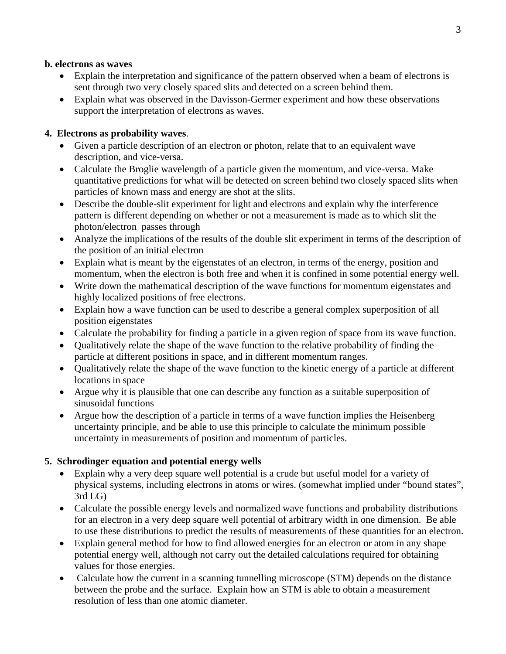#### **b. electrons as waves**

- Explain the interpretation and significance of the pattern observed when a beam of electrons is sent through two very closely spaced slits and detected on a screen behind them.
- Explain what was observed in the Davisson-Germer experiment and how these observations support the interpretation of electrons as waves.

## **4. Electrons as probability waves**.

- Given a particle description of an electron or photon, relate that to an equivalent wave description, and vice-versa.
- Calculate the Broglie wavelength of a particle given the momentum, and vice-versa. Make quantitative predictions for what will be detected on screen behind two closely spaced slits when particles of known mass and energy are shot at the slits.
- Describe the double-slit experiment for light and electrons and explain why the interference pattern is different depending on whether or not a measurement is made as to which slit the photon/electron passes through
- Analyze the implications of the results of the double slit experiment in terms of the description of the position of an initial electron
- Explain what is meant by the eigenstates of an electron, in terms of the energy, position and momentum, when the electron is both free and when it is confined in some potential energy well.
- Write down the mathematical description of the wave functions for momentum eigenstates and highly localized positions of free electrons.
- Explain how a wave function can be used to describe a general complex superposition of all position eigenstates
- Calculate the probability for finding a particle in a given region of space from its wave function.
- Qualitatively relate the shape of the wave function to the relative probability of finding the particle at different positions in space, and in different momentum ranges.
- Qualitatively relate the shape of the wave function to the kinetic energy of a particle at different locations in space
- Argue why it is plausible that one can describe any function as a suitable superposition of sinusoidal functions
- Argue how the description of a particle in terms of a wave function implies the Heisenberg uncertainty principle, and be able to use this principle to calculate the minimum possible uncertainty in measurements of position and momentum of particles.

## **5. Schrodinger equation and potential energy wells**

- Explain why a very deep square well potential is a crude but useful model for a variety of physical systems, including electrons in atoms or wires. (somewhat implied under "bound states", 3rd LG)
- Calculate the possible energy levels and normalized wave functions and probability distributions for an electron in a very deep square well potential of arbitrary width in one dimension. Be able to use these distributions to predict the results of measurements of these quantities for an electron.
- Explain general method for how to find allowed energies for an electron or atom in any shape potential energy well, although not carry out the detailed calculations required for obtaining values for those energies.
- Calculate how the current in a scanning tunnelling microscope (STM) depends on the distance between the probe and the surface. Explain how an STM is able to obtain a measurement resolution of less than one atomic diameter.